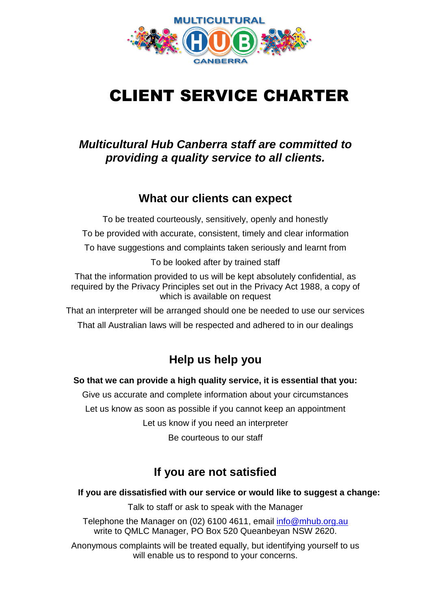

## CLIENT SERVICE CHARTER

#### *Multicultural Hub Canberra staff are committed to providing a quality service to all clients.*

#### **What our clients can expect**

To be treated courteously, sensitively, openly and honestly To be provided with accurate, consistent, timely and clear information To have suggestions and complaints taken seriously and learnt from To be looked after by trained staff

That the information provided to us will be kept absolutely confidential, as required by the Privacy Principles set out in the Privacy Act 1988, a copy of which is available on request

That an interpreter will be arranged should one be needed to use our services

That all Australian laws will be respected and adhered to in our dealings

#### **Help us help you**

**So that we can provide a high quality service, it is essential that you:**

Give us accurate and complete information about your circumstances Let us know as soon as possible if you cannot keep an appointment Let us know if you need an interpreter Be courteous to our staff

#### **If you are not satisfied**

#### **If you are dissatisfied with our service or would like to suggest a change:**

Talk to staff or ask to speak with the Manager

Telephone the Manager on (02) 6100 4611, email [info@mhub.org.au](mailto:info@mhub.org.au)  write to QMLC Manager, PO Box 520 Queanbeyan NSW 2620.

Anonymous complaints will be treated equally, but identifying yourself to us will enable us to respond to your concerns.